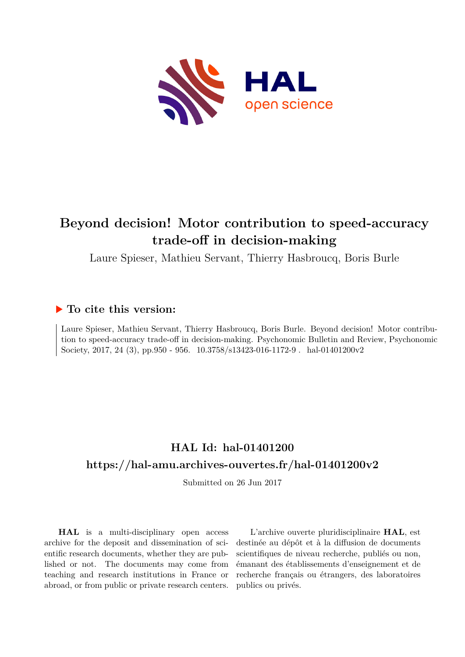

# **Beyond decision! Motor contribution to speed-accuracy trade-off in decision-making**

Laure Spieser, Mathieu Servant, Thierry Hasbroucq, Boris Burle

# **To cite this version:**

Laure Spieser, Mathieu Servant, Thierry Hasbroucq, Boris Burle. Beyond decision! Motor contribution to speed-accuracy trade-off in decision-making. Psychonomic Bulletin and Review, Psychonomic Society, 2017, 24 (3), pp.950 - 956.  $10.3758/s13423-016-1172-9$ . hal-01401200v2

# **HAL Id: hal-01401200 <https://hal-amu.archives-ouvertes.fr/hal-01401200v2>**

Submitted on 26 Jun 2017

**HAL** is a multi-disciplinary open access archive for the deposit and dissemination of scientific research documents, whether they are published or not. The documents may come from teaching and research institutions in France or abroad, or from public or private research centers.

L'archive ouverte pluridisciplinaire **HAL**, est destinée au dépôt et à la diffusion de documents scientifiques de niveau recherche, publiés ou non, émanant des établissements d'enseignement et de recherche français ou étrangers, des laboratoires publics ou privés.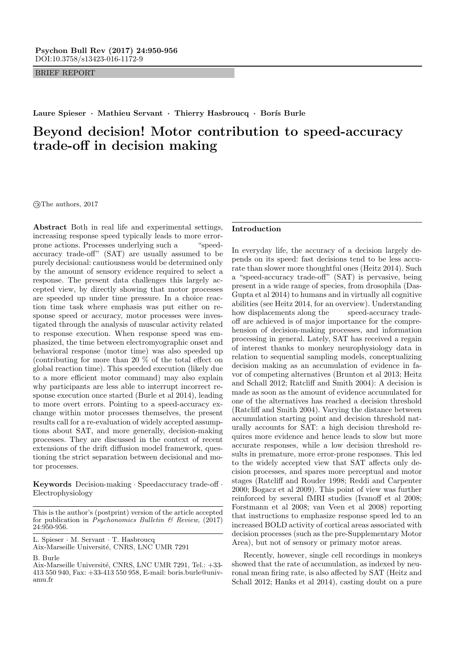BRIEF REPORT

Laure Spieser · Mathieu Servant · Thierry Hasbroucq · Borís Burle

# Beyond decision! Motor contribution to speed-accuracy trade-off in decision making

 $\odot$ The authors, 2017

Abstract Both in real life and experimental settings, increasing response speed typically leads to more errorprone actions. Processes underlying such a "speedaccuracy trade-off" (SAT) are usually assumed to be purely decisional: cautiousness would be determined only by the amount of sensory evidence required to select a response. The present data challenges this largely accepted view, by directly showing that motor processes are speeded up under time pressure. In a choice reaction time task where emphasis was put either on response speed or accuracy, motor processes were investigated through the analysis of muscular activity related to response execution. When response speed was emphasized, the time between electromyographic onset and behavioral response (motor time) was also speeded up (contributing for more than 20 % of the total effect on global reaction time). This speeded execution (likely due to a more efficient motor command) may also explain why participants are less able to interrupt incorrect response execution once started (Burle et al 2014), leading to more overt errors. Pointing to a speed-accuracy exchange within motor processes themselves, the present results call for a re-evaluation of widely accepted assumptions about SAT, and more generally, decision-making processes. They are discussed in the context of recent extensions of the drift diffusion model framework, questioning the strict separation between decisional and motor processes.

Keywords Decision-making · Speedaccuracy trade-off · Electrophysiology

L. Spieser · M. Servant · T. Hasbroucq Aix-Marseille Université, CNRS, LNC UMR 7291

B. Burle

#### Introduction

In everyday life, the accuracy of a decision largely depends on its speed: fast decisions tend to be less accurate than slower more thoughtful ones (Heitz 2014). Such a "speed-accuracy trade-off" (SAT) is pervasive, being present in a wide range of species, from drosophila (Das-Gupta et al 2014) to humans and in virtually all cognitive abilities (see Heitz 2014, for an overview). Understanding how displacements along the speed-accuracy tradeoff are achieved is of major importance for the comprehension of decision-making processes, and information processing in general. Lately, SAT has received a regain of interest thanks to monkey neurophysiology data in relation to sequential sampling models, conceptualizing decision making as an accumulation of evidence in favor of competing alternatives (Brunton et al 2013; Heitz and Schall 2012; Ratcliff and Smith 2004): A decision is made as soon as the amount of evidence accumulated for one of the alternatives has reached a decision threshold (Ratcliff and Smith 2004). Varying the distance between accumulation starting point and decision threshold naturally accounts for SAT: a high decision threshold requires more evidence and hence leads to slow but more accurate responses, while a low decision threshold results in premature, more error-prone responses. This led to the widely accepted view that SAT affects only decision processes, and spares more perceptual and motor stages (Ratcliff and Rouder 1998; Reddi and Carpenter 2000; Bogacz et al 2009). This point of view was further reinforced by several fMRI studies (Ivanoff et al 2008; Forstmann et al 2008; van Veen et al 2008) reporting that instructions to emphasize response speed led to an increased BOLD activity of cortical areas associated with decision processes (such as the pre-Supplementary Motor Area), but not of sensory or primary motor areas.

Recently, however, single cell recordings in monkeys showed that the rate of accumulation, as indexed by neuronal mean firing rate, is also affected by SAT (Heitz and Schall 2012; Hanks et al 2014), casting doubt on a pure

This is the author's (postprint) version of the article accepted for publication in  $P$ *sychonomics Bulletin & Review*, (2017) 24:950-956.

Aix-Marseille Université, CNRS, LNC UMR 7291, Tel.: +33-413 550 940, Fax: +33-413 550 958, E-mail: boris.burle@univamu.fr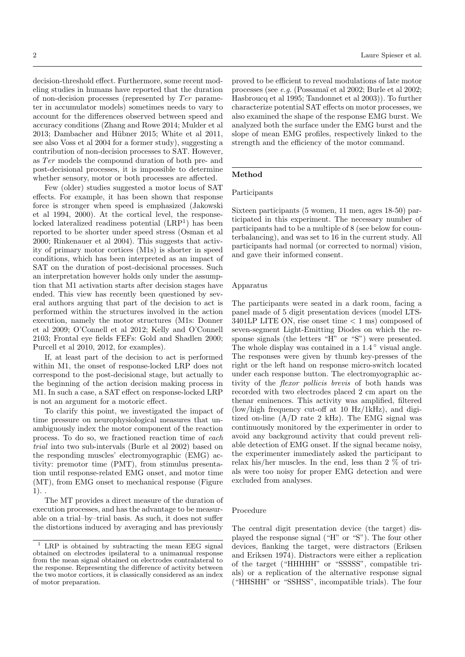decision-threshold effect. Furthermore, some recent modeling studies in humans have reported that the duration of non-decision processes (represented by  $Ter$  parameter in accumulator models) sometimes needs to vary to account for the differences observed between speed and accuracy conditions (Zhang and Rowe 2014; Mulder et al 2013; Dambacher and Hübner 2015; White et al 2011, see also Voss et al 2004 for a former study), suggesting a contribution of non-decision processes to SAT. However, as Ter models the compound duration of both pre- and post-decisional processes, it is impossible to determine whether sensory, motor or both processes are affected.

Few (older) studies suggested a motor locus of SAT effects. For example, it has been shown that response force is stronger when speed is emphasized (Jakowski et al 1994, 2000). At the cortical level, the responselocked lateralized readiness potential (LRP<sup>1</sup>) has been reported to be shorter under speed stress (Osman et al 2000; Rinkenauer et al 2004). This suggests that activity of primary motor cortices (M1s) is shorter in speed conditions, which has been interpreted as an impact of SAT on the duration of post-decisional processes. Such an interpretation however holds only under the assumption that M1 activation starts after decision stages have ended. This view has recently been questioned by several authors arguing that part of the decision to act is performed within the structures involved in the action execution, namely the motor structures (M1s: Donner et al 2009; O'Connell et al 2012; Kelly and O'Connell 2103; Frontal eye fields FEFs: Gold and Shadlen 2000; Purcell et al 2010, 2012, for examples).

If, at least part of the decision to act is performed within M1, the onset of response-locked LRP does not correspond to the post-decisional stage, but actually to the beginning of the action decision making process in M1. In such a case, a SAT effect on response-locked LRP is not an argument for a motoric effect.

To clarify this point, we investigated the impact of time pressure on neurophysiological measures that unambiguously index the motor component of the reaction process. To do so, we fractioned reaction time of each trial into two sub-intervals (Burle et al 2002) based on the responding muscles' electromyographic (EMG) activity: premotor time (PMT), from stimulus presentation until response-related EMG onset, and motor time (MT), from EMG onset to mechanical response (Figure  $1)$ .

The MT provides a direct measure of the duration of execution processes, and has the advantage to be measurable on a trial–by–trial basis. As such, it does not suffer the distortions induced by averaging and has previously

proved to be efficient to reveal modulations of late motor processes (see e.g. (Possamaï et al 2002; Burle et al 2002; Hasbroucq et al 1995; Tandonnet et al 2003)). To further characterize potential SAT effects on motor processes, we also examined the shape of the response EMG burst. We analyzed both the surface under the EMG burst and the slope of mean EMG profiles, respectively linked to the strength and the efficiency of the motor command.

# Method

#### Participants

Sixteen participants (5 women, 11 men, ages 18-50) participated in this experiment. The necessary number of participants had to be a multiple of 8 (see below for counterbalancing), and was set to 16 in the current study. All participants had normal (or corrected to normal) vision, and gave their informed consent.

# Apparatus

The participants were seated in a dark room, facing a panel made of 5 digit presentation devices (model LTS- $3401LP$  LITE ON, rise onset time  $\lt 1$  ms) composed of seven-segment Light-Emitting Diodes on which the response signals (the letters "H" or "S") were presented. The whole display was contained in a  $1.4^{\circ}$  visual angle. The responses were given by thumb key-presses of the right or the left hand on response micro-switch located under each response button. The electromyographic activity of the flexor pollicis brevis of both hands was recorded with two electrodes placed 2 cm apart on the thenar eminences. This activity was amplified, filtered (low/high frequency cut-off at 10 Hz/1kHz), and digitized on-line (A/D rate 2 kHz). The EMG signal was continuously monitored by the experimenter in order to avoid any background activity that could prevent reliable detection of EMG onset. If the signal became noisy, the experimenter immediately asked the participant to relax his/her muscles. In the end, less than 2 % of trials were too noisy for proper EMG detection and were excluded from analyses.

# Procedure

The central digit presentation device (the target) displayed the response signal ("H" or "S"). The four other devices, flanking the target, were distractors (Eriksen and Eriksen 1974). Distractors were either a replication of the target ("HHHHH" or "SSSSS", compatible trials) or a replication of the alternative response signal ("HHSHH" or "SSHSS", incompatible trials). The four

 $1$  LRP is obtained by subtracting the mean EEG signal obtained on electrodes ipsilateral to a unimanual response from the mean signal obtained on electrodes contralateral to the response. Representing the difference of activity between the two motor cortices, it is classically considered as an index of motor preparation.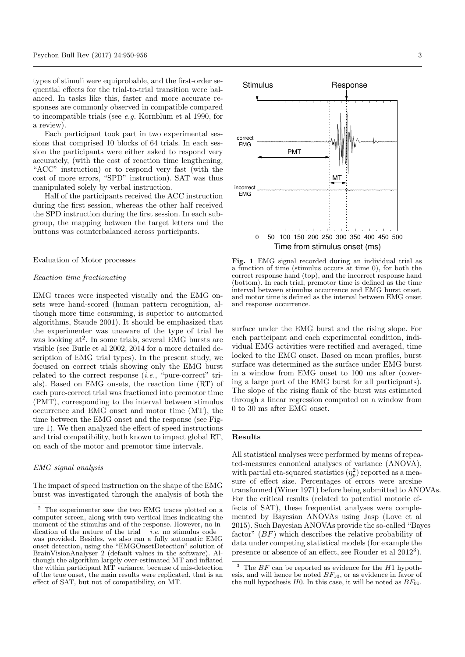types of stimuli were equiprobable, and the first-order sequential effects for the trial-to-trial transition were balanced. In tasks like this, faster and more accurate responses are commonly observed in compatible compared to incompatible trials (see e.g. Kornblum et al 1990, for a review).

Each participant took part in two experimental sessions that comprised 10 blocks of 64 trials. In each session the participants were either asked to respond very accurately, (with the cost of reaction time lengthening, "ACC" instruction) or to respond very fast (with the cost of more errors, "SPD" instruction). SAT was thus manipulated solely by verbal instruction.

Half of the participants received the ACC instruction during the first session, whereas the other half received the SPD instruction during the first session. In each subgroup, the mapping between the target letters and the buttons was counterbalanced across participants.

# Evaluation of Motor processes

# Reaction time fractionating

EMG traces were inspected visually and the EMG onsets were hand-scored (human pattern recognition, although more time consuming, is superior to automated algorithms, Staude 2001). It should be emphasized that the experimenter was unaware of the type of trial he was looking at<sup>2</sup>. In some trials, several EMG bursts are visible (see Burle et al 2002, 2014 for a more detailed description of EMG trial types). In the present study, we focused on correct trials showing only the EMG burst related to the correct response  $(i.e.,$  "pure-correct" trials). Based on EMG onsets, the reaction time (RT) of each pure-correct trial was fractioned into premotor time (PMT), corresponding to the interval between stimulus occurrence and EMG onset and motor time (MT), the time between the EMG onset and the response (see Figure 1). We then analyzed the effect of speed instructions and trial compatibility, both known to impact global RT, on each of the motor and premotor time intervals.

#### EMG signal analysis

The impact of speed instruction on the shape of the EMG burst was investigated through the analysis of both the



Fig. 1 EMG signal recorded during an individual trial as a function of time (stimulus occurs at time 0), for both the correct response hand (top), and the incorrect response hand (bottom). In each trial, premotor time is defined as the time interval between stimulus occurrence and EMG burst onset, and motor time is defined as the interval between EMG onset and response occurrence.

surface under the EMG burst and the rising slope. For each participant and each experimental condition, individual EMG activities were rectified and averaged, time locked to the EMG onset. Based on mean profiles, burst surface was determined as the surface under EMG burst in a window from EMG onset to 100 ms after (covering a large part of the EMG burst for all participants). The slope of the rising flank of the burst was estimated through a linear regression computed on a window from 0 to 30 ms after EMG onset.

#### Results

All statistical analyses were performed by means of repeated-measures canonical analyses of variance (ANOVA), with partial eta-squared statistics  $(\eta_p^2)$  reported as a measure of effect size. Percentages of errors were arcsine transformed (Winer 1971) before being submitted to ANOVAs. For the critical results (related to potential motoric effects of SAT), these frequentist analyses were complemented by Bayesian ANOVAs using Jasp (Love et al 2015). Such Bayesian ANOVAs provide the so-called "Bayes factor" (BF) which describes the relative probability of data under competing statistical models (for example the presence or absence of an effect, see Rouder et al  $2012^3$ .

<sup>2</sup> The experimenter saw the two EMG traces plotted on a computer screen, along with two vertical lines indicating the moment of the stimulus and of the response. However, no indication of the nature of the trial – *i.e.* no stimulus code was provided. Besides, we also ran a fully automatic EMG onset detection, using the "EMGOnsetDetection" solution of BrainVisionAnalyser 2 (default values in the software). Although the algorithm largely over-estimated MT and inflated the within participant MT variance, because of mis-detection of the true onset, the main results were replicated, that is an effect of SAT, but not of compatibility, on MT.

 $3$  The BF can be reported as evidence for the H1 hypothesis, and will hence be noted  $BF_{10}$ , or as evidence in favor of the null hypothesis  $H0$ . In this case, it will be noted as  $BF_{01}$ .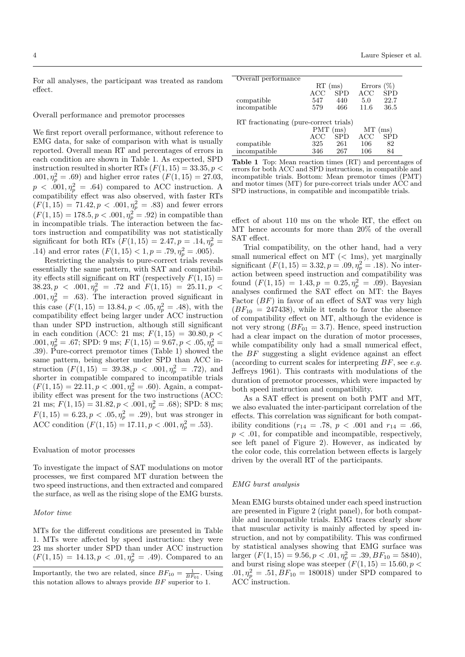For all analyses, the participant was treated as random effect.

# Overall performance and premotor processes

We first report overall performance, without reference to EMG data, for sake of comparison with what is usually reported. Overall mean RT and percentages of errors in each condition are shown in Table 1. As expected, SPD instruction resulted in shorter RTs  $(F(1, 15) = 33.35, p <$  $.001, \eta_p^2 = .69$ ) and higher error rates  $(F(1, 15) = 27.03,$  $p \ll .001, \eta_p^2 = .64$  compared to ACC instruction. A compatibility effect was also observed, with faster RTs  $(F(1, 15) = 71.42, p < .001, \eta_p^2 = .83)$  and fewer errors  $(F(1, 15) = 178.5, p < .001, \eta_p^2 = .92)$  in compatible than in incompatible trials. The interaction between the factors instruction and compatibility was not statistically significant for both RTs  $(F(1, 15) = 2.47, p = .14, \eta_p^2 = )$ .14) and error rates  $(F(1, 15) < 1, p = .79, \eta_p^2 = .005)$ .

Restricting the analysis to pure-correct trials reveals essentially the same pattern, with SAT and compatibility effects still significant on RT (respectively  $F(1, 15) =$  $38.23, p \lt 0.001, \eta_p^2 = .72 \text{ and } F(1, 15) = 25.11, p \lt 0.001$  $.001, \eta_p^2 = .63$ . The interaction proved significant in this case  $(F(1, 15) = 13.84, p < .05, \eta_p^2 = .48)$ , with the compatibility effect being larger under ACC instruction than under SPD instruction, although still significant in each condition (ACC: 21 ms;  $F(1, 15) = 30.80, p <$  $.001, \eta_p^2 = .67$ ; SPD: 9 ms;  $F(1, 15) = 9.67, p < .05, \eta_p^2 =$ .39). Pure-correct premotor times (Table 1) showed the same pattern, being shorter under SPD than ACC instruction  $(F(1, 15) = 39.38, p < .001, \eta_p^2 = .72)$ , and shorter in compatible compared to incompatible trials  $(F(1, 15) = 22.11, p < .001, \eta_p^2 = .60)$ . Again, a compatibility effect was present for the two instructions (ACC: 21 ms;  $F(1, 15) = 31.82, p < .001, \eta_p^2 = .68$ ); SPD: 8 ms;  $F(1, 15) = 6.23, p < .05, \eta_p^2 = .29$ , but was stronger in ACC condition  $(F(1, 15) = 17.11, p < .001, \eta_p^2 = .53)$ .

## Evaluation of motor processes

To investigate the impact of SAT modulations on motor processes, we first compared MT duration between the two speed instructions, and then extracted and compared the surface, as well as the rising slope of the EMG bursts.

# Motor time

MTs for the different conditions are presented in Table 1. MTs were affected by speed instruction: they were 23 ms shorter under SPD than under ACC instruction  $(F(1, 15) = 14.13, p < .01, \eta_p^2 = .49)$ . Compared to an

| Overall performance                    |                   |            |                  |            |
|----------------------------------------|-------------------|------------|------------------|------------|
|                                        | $RT$ (ms)         |            | Errors<br>$(\%)$ |            |
|                                        | $_{\mathrm{ACC}}$ | <b>SPD</b> | ACC              | <b>SPD</b> |
| compatible                             | 547               | 440        | 5.0              | 22.7       |
| incompatible                           | 579               | 466        | 11.6             | 36.5       |
| RT fractionating (pure-correct trials) |                   |            |                  |            |
|                                        | $PMT$ (ms)        |            | $MT$ (ms)        |            |
|                                        |                   |            |                  |            |
|                                        | $_{\mathrm{ACC}}$ | <b>SPD</b> | ACC              | <b>SPD</b> |
| compatible                             | 325               | 261        | 106              | 82         |
| incompatible                           | 346               | 267        | 106              | 84         |

Table 1 Top: Mean reaction times (RT) and percentages of errors for both ACC and SPD instructions, in compatible and incompatible trials. Bottom: Mean premotor times (PMT) and motor times (MT) for pure-correct trials under ACC and SPD instructions, in compatible and incompatible trials.

effect of about 110 ms on the whole RT, the effect on MT hence accounts for more than 20% of the overall SAT effect.

Trial compatibility, on the other hand, had a very small numerical effect on  $MT$   $(< 1ms)$ , yet marginally significant  $(F(1, 15) = 3.32, p = .09, \eta_p^2 = .18)$ . No interaction between speed instruction and compatibility was found  $(F(1, 15) = 1.43, p = 0.25, \eta_p^2 = .09)$ . Bayesian analyses confirmed the SAT effect on MT: the Bayes Factor  $(BF)$  in favor of an effect of SAT was very high  $(BF_{10} = 247438)$ , while it tends to favor the absence of compatibility effect on MT, although the evidence is not very strong  $(BF_{01} = 3.7)$ . Hence, speed instruction had a clear impact on the duration of motor processes, while compatibility only had a small numerical effect, the BF suggesting a slight evidence against an effect (according to current scales for interpreting  $BF$ , see e.g. Jeffreys 1961). This contrasts with modulations of the duration of premotor processes, which were impacted by both speed instruction and compatibility.

As a SAT effect is present on both PMT and MT, we also evaluated the inter-participant correlation of the effects. This correlation was significant for both compatibility conditions ( $r_{14} = .78, p < .001$  and  $r_{14} = .66,$  $p < .01$ , for compatible and incompatible, respectively, see left panel of Figure 2). However, as indicated by the color code, this correlation between effects is largely driven by the overall RT of the participants.

# EMG burst analysis

Mean EMG bursts obtained under each speed instruction are presented in Figure 2 (right panel), for both compatible and incompatible trials. EMG traces clearly show that muscular activity is mainly affected by speed instruction, and not by compatibility. This was confirmed by statistical analyses showing that EMG surface was larger  $(F(1, 15) = 9.56, p < .01, \eta_p^2 = .39, BF_{10} = 5840),$ and burst rising slope was steeper  $(F(1, 15) = 15.60, p <$  $.01, \eta_p^2 = .51, BF_{10} = 180018$  under SPD compared to ACC instruction.

Importantly, the two are related, since  $BF_{10} = \frac{1}{BF_{01}}$ . Using this notation allows to always provide BF superior to 1.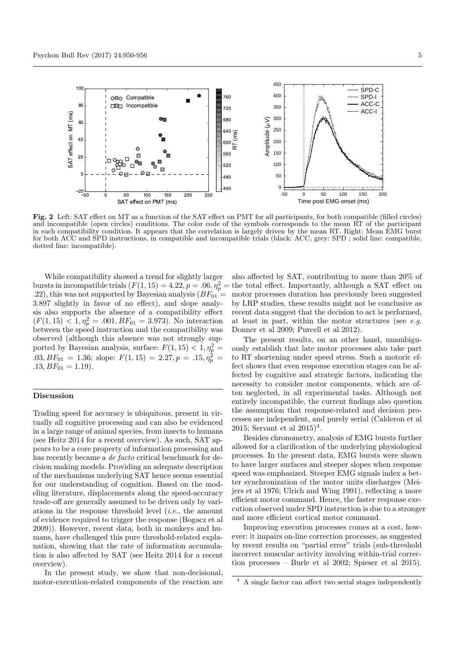

Fig. 2 Left: SAT effect on MT as a function of the SAT effect on PMT for all participants, for both compatible (filled circles) and incompatible (open circles) conditions. The color code of the symbols corresponds to the mean RT of the participant in each compatibility condition. It appears that the correlation is largely driven by the mean RT. Right: Mean EMG burst for both ACC and SPD instructions, in compatible and incompatible trials (black: ACC, grey: SPD ; solid line: compatible, dotted line: incompatible).

While compatibility showed a trend for slightly larger bursts in incompatible trials  $(F(1, 15) = 4.22, p = .06, \eta_p^2 = \text{the total effect. Importantly, although a SAT effect on }$ .22), this was not supported by Bayesian analysis  $(BF_{01} =$ 3.897 slightly in favor of no effect), and slope analysis also supports the absence of a compatibility effect  $(F(1, 15) < 1, \eta_p^2 = .001, BF_{01} = 3.973)$ . No interaction between the speed instruction and the compatibility was observed (although this absence was not strongly supported by Bayesian analysis, surface:  $F(1, 15) < 1, \eta_p^2 =$  $.03, BF_{01} = 1.36$ ; slope:  $F(1, 15) = 2.27, p = .15, \eta_p^2 =$  $.13, BF_{01} = 1.19$ .

#### Discussion

Trading speed for accuracy is ubiquitous, present in virtually all cognitive processing and can also be evidenced in a large range of animal species, from insects to humans (see Heitz 2014 for a recent overview). As such, SAT appears to be a core property of information processing and has recently became a *de facto* critical benchmark for decision making models. Providing an adequate description of the mechanisms underlying SAT hence seems essential for our understanding of cognition. Based on the modeling literature, displacements along the speed-accuracy trade-off are generally assumed to be driven only by variations in the response threshold level  $(i.e.,$  the amount of evidence required to trigger the response (Bogacz et al 2009)). However, recent data, both in monkeys and humans, have challenged this pure threshold-related explanation, showing that the rate of information accumulation is also affected by SAT (see Heitz 2014 for a recent overview).

In the present study, we show that non-decisional, motor-execution-related components of the reaction are also affected by SAT, contributing to more than 20% of motor processes duration has previously been suggested by LRP studies, these results might not be conclusive as recent data suggest that the decision to act is performed, at least in part, within the motor structures (see  $e.q.$ Donner et al 2009; Purcell et al 2012).

The present results, on an other hand, unambiguously establish that late motor processes also take part to RT shortening under speed stress. Such a motoric effect shows that even response execution stages can be affected by cognitive and strategic factors, indicating the necessity to consider motor components, which are often neglected, in all experimental tasks. Although not entirely incompatible, the current findings also question the assumption that response-related and decision processes are independent, and purely serial (Calderon et al 2015; Servant et al  $2015)^4$ .

Besides chronometry, analysis of EMG bursts further allowed for a clarification of the underlying physiological processes. In the present data, EMG bursts were shown to have larger surfaces and steeper slopes when response speed was emphasized. Steeper EMG signals index a better synchronization of the motor units discharges (Meijers et al 1976; Ulrich and Wing 1991), reflecting a more efficient motor command. Hence, the faster response execution observed under SPD instruction is due to a stronger and more efficient cortical motor command.

Improving execution processes comes at a cost, however: it impairs on-line correction processes, as suggested by recent results on "partial error" trials (sub-threshold incorrect muscular activity involving within-trial correction processes – Burle et al 2002; Spieser et al 2015).

<sup>4</sup> A single factor can affect two serial stages independently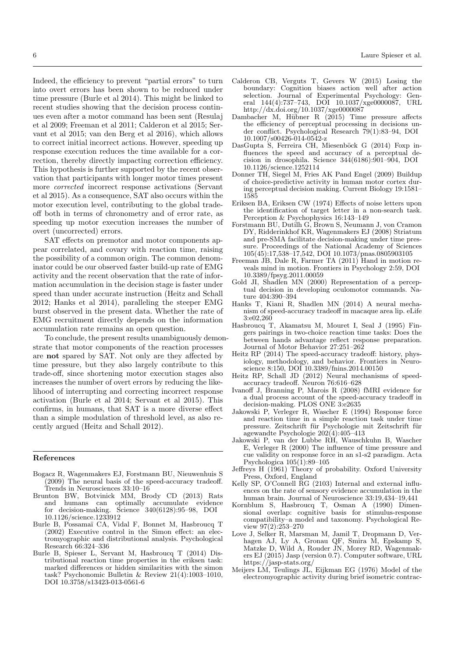Indeed, the efficiency to prevent "partial errors" to turn into overt errors has been shown to be reduced under time pressure (Burle et al 2014). This might be linked to recent studies showing that the decision process continues even after a motor command has been sent (Resulaj et al 2009; Freeman et al 2011; Calderon et al 2015; Servant et al 2015; van den Berg et al 2016), which allows to correct initial incorrect actions. However, speeding up response execution reduces the time available for a correction, thereby directly impacting correction efficiency. This hypothesis is further supported by the recent observation that participants with longer motor times present more corrected incorrect response activations (Servant et al 2015). As a consequence, SAT also occurs within the motor execution level, contributing to the global tradeoff both in terms of chronometry and of error rate, as speeding up motor execution increases the number of overt (uncorrected) errors.

SAT effects on premotor and motor components appear correlated, and covary with reaction time, raising the possibility of a common origin. The common denominator could be our observed faster build-up rate of EMG activity and the recent observation that the rate of information accumulation in the decision stage is faster under speed than under accurate instruction (Heitz and Schall 2012; Hanks et al 2014), paralleling the steeper EMG burst observed in the present data. Whether the rate of EMG recruitment directly depends on the information accumulation rate remains an open question.

To conclude, the present results unambiguously demonstrate that motor components of the reaction processes are not spared by SAT. Not only are they affected by time pressure, but they also largely contribute to this trade-off, since shortening motor execution stages also increases the number of overt errors by reducing the likelihood of interrupting and correcting incorrect response activation (Burle et al 2014; Servant et al 2015). This confirms, in humans, that SAT is a more diverse effect than a simple modulation of threshold level, as also recently argued (Heitz and Schall 2012).

# References

- Bogacz R, Wagenmakers EJ, Forstmann BU, Nieuwenhuis S (2009) The neural basis of the speed-accuracy tradeoff. Trends in Neurosciences 33:10–16
- Brunton BW, Botvinick MM, Brody CD (2013) Rats and humans can optimally accumulate evidence for decision-making. Science 340(6128):95–98, DOI 10.1126/science.1233912
- Burle B, Possama¨ı CA, Vidal F, Bonnet M, Hasbroucq T (2002) Executive control in the Simon effect: an electromyographic and distributional analysis. Psychological Research 66:324–336
- Burle B, Spieser L, Servant M, Hasbroucq T (2014) Distributional reaction time properties in the eriksen task: marked differences or hidden similarities with the simon task? Psychonomic Bulletin & Review 21(4):1003–1010, DOI 10.3758/s13423-013-0561-6
- Calderon CB, Verguts T, Gevers W (2015) Losing the boundary: Cognition biases action well after action selection. Journal of Experimental Psychology: General 144(4):737–743, DOI 10.1037/xge0000087, URL http://dx.doi.org/10.1037/xge0000087
- Dambacher M, Hübner R (2015) Time pressure affects the efficiency of perceptual processing in decisions under conflict. Psychological Research 79(1):83–94, DOI 10.1007/s00426-014-0542-z
- DasGupta S, Ferreira CH, Miesenböck G (2014) Foxp influences the speed and accuracy of a perceptual decision in drosophila. Science  $344(6186):901-904$ , DOI 10.1126/science.1252114
- Donner TH, Siegel M, Fries AK Pand Engel (2009) Buildup of choice-predictive activity in human motor cortex during perceptual decision making. Current Biology 19:1581– 1585
- Eriksen BA, Eriksen CW (1974) Effects of noise letters upon the identification of target letter in a non-search task. Perception & Psychophysics 16:143–149
- Forstmann BU, Dutilh G, Brown S, Neumann J, von Cramon DY, Ridderinkhof KR, Wagenmakers EJ (2008) Striatum and pre-SMA facilitate decision-making under time pressure. Proceedings of the National Academy of Sciences 105(45):17,538–17,542, DOI 10.1073/pnas.0805903105
- Freeman JB, Dale R, Farmer TA (2011) Hand in motion reveals mind in motion. Frontiers in Psychology 2:59, DOI 10.3389/fpsyg.2011.00059
- Gold JI, Shadlen MN (2000) Representation of a perceptual decision in developing oculomotor commands. Nature 404:390–394
- Hanks T, Kiani R, Shadlen MN (2014) A neural mechanism of speed-accuracy tradeoff in macaque area lip. eLife 3:e02,260
- Hasbroucq T, Akamatsu M, Mouret I, Seal J (1995) Fingers pairings in two-choice reaction time tasks: Does the between hands advantage reflect response preparation. Journal of Motor Behavior 27:251–262
- Heitz RP (2014) The speed-accuracy tradeoff: history, physiology, methodology, and behavior. Frontiers in Neuroscience 8:150, DOI 10.3389/fnins.2014.00150
- Heitz RP, Schall JD (2012) Neural mechanisms of speedaccuracy tradeoff. Neuron 76:616–628
- Ivanoff J, Branning P, Marois R (2008) fMRI evidence for a dual process account of the speed-accuracy tradeoff in decision-making. PLOS ONE 3:e2635
- Jakowski P, Verleger R, Wascher E (1994) Response force and reaction time in a simple reaction task under time pressure. Zeitschrift für Psychologie mit Zeitschrift für agewandte Psychologie 202(4):405–413
- Jakowski P, van der Lubbe RH, Wauschkuhn B, Wascher E, Verleger R (2000) The influence of time pressure and cue validity on response force in an s1-s2 paradigm. Acta Psychologica 105(1):89–105
- Jeffreys H (1961) Theory of probability. Oxford University Press, Oxford, England
- Kelly SP, O'Connell RG (2103) Internal and external influences on the rate of sensory evidence accumulation in the human brain. Journal of Neuroscience 33:19,434–19,441
- Kornblum S, Hasbroucq T, Osman A (1990) Dimensional overlap: cognitive basis for stimulus-response compatibility–a model and taxonomy. Psychological Review 97(2):253–270
- Love J, Selker R, Marsman M, Jamil T, Dropmann D, Verhagen AJ, Ly A, Gronau QF, Smira M, Epskamp S, Matzke D, Wild A, Rouder JN, Morey RD, Wagenmakers EJ (2015) Jasp (version 0.7). Computer software, URL https://jasp-stats.org/
- Meijers LM, Teulings JL, Eijkman EG (1976) Model of the electromyographic activity during brief isometric contrac-